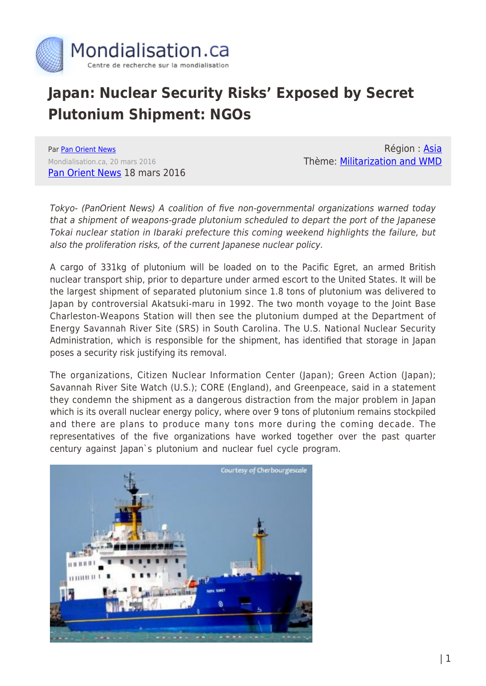

## **Japan: Nuclear Security Risks' Exposed by Secret Plutonium Shipment: NGOs**

Par [Pan Orient News](https://www.mondialisation.ca/author/pan-orient-news) Mondialisation.ca, 20 mars 2016 [Pan Orient News](http://www.panorientnews.com/en/news.php?k=2485) 18 mars 2016

Région : [Asia](https://www.mondialisation.ca/region/asia) Thème: [Militarization and WMD](https://www.mondialisation.ca/theme/militarization-and-wmd)

Tokyo- (PanOrient News) A coalition of five non-governmental organizations warned today that a shipment of weapons-grade plutonium scheduled to depart the port of the Japanese Tokai nuclear station in Ibaraki prefecture this coming weekend highlights the failure, but also the proliferation risks, of the current Japanese nuclear policy.

A cargo of 331kg of plutonium will be loaded on to the Pacific Egret, an armed British nuclear transport ship, prior to departure under armed escort to the United States. It will be the largest shipment of separated plutonium since 1.8 tons of plutonium was delivered to Japan by controversial Akatsuki-maru in 1992. The two month voyage to the Joint Base Charleston-Weapons Station will then see the plutonium dumped at the Department of Energy Savannah River Site (SRS) in South Carolina. The U.S. National Nuclear Security Administration, which is responsible for the shipment, has identified that storage in Japan poses a security risk justifying its removal.

The organizations, Citizen Nuclear Information Center (Japan); Green Action (Japan); Savannah River Site Watch (U.S.); CORE (England), and Greenpeace, said in a statement they condemn the shipment as a dangerous distraction from the major problem in Japan which is its overall nuclear energy policy, where over 9 tons of plutonium remains stockpiled and there are plans to produce many tons more during the coming decade. The representatives of the five organizations have worked together over the past quarter century against Japan`s plutonium and nuclear fuel cycle program.

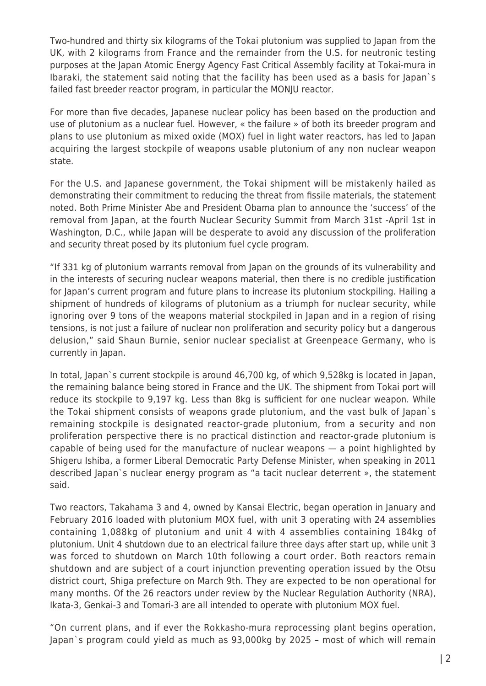Two-hundred and thirty six kilograms of the Tokai plutonium was supplied to Japan from the UK, with 2 kilograms from France and the remainder from the U.S. for neutronic testing purposes at the Japan Atomic Energy Agency Fast Critical Assembly facility at Tokai-mura in Ibaraki, the statement said noting that the facility has been used as a basis for Japan`s failed fast breeder reactor program, in particular the MONJU reactor.

For more than five decades, Japanese nuclear policy has been based on the production and use of plutonium as a nuclear fuel. However, « the failure » of both its breeder program and plans to use plutonium as mixed oxide (MOX) fuel in light water reactors, has led to Japan acquiring the largest stockpile of weapons usable plutonium of any non nuclear weapon state.

For the U.S. and Japanese government, the Tokai shipment will be mistakenly hailed as demonstrating their commitment to reducing the threat from fissile materials, the statement noted. Both Prime Minister Abe and President Obama plan to announce the 'success' of the removal from Japan, at the fourth Nuclear Security Summit from March 31st -April 1st in Washington, D.C., while Japan will be desperate to avoid any discussion of the proliferation and security threat posed by its plutonium fuel cycle program.

"If 331 kg of plutonium warrants removal from Japan on the grounds of its vulnerability and in the interests of securing nuclear weapons material, then there is no credible justification for Japan's current program and future plans to increase its plutonium stockpiling. Hailing a shipment of hundreds of kilograms of plutonium as a triumph for nuclear security, while ignoring over 9 tons of the weapons material stockpiled in Japan and in a region of rising tensions, is not just a failure of nuclear non proliferation and security policy but a dangerous delusion," said Shaun Burnie, senior nuclear specialist at Greenpeace Germany, who is currently in Japan.

In total, Japan`s current stockpile is around 46,700 kg, of which 9,528kg is located in Japan, the remaining balance being stored in France and the UK. The shipment from Tokai port will reduce its stockpile to 9,197 kg. Less than 8kg is sufficient for one nuclear weapon. While the Tokai shipment consists of weapons grade plutonium, and the vast bulk of Japan`s remaining stockpile is designated reactor-grade plutonium, from a security and non proliferation perspective there is no practical distinction and reactor-grade plutonium is capable of being used for the manufacture of nuclear weapons — a point highlighted by Shigeru Ishiba, a former Liberal Democratic Party Defense Minister, when speaking in 2011 described Japan`s nuclear energy program as "a tacit nuclear deterrent », the statement said.

Two reactors, Takahama 3 and 4, owned by Kansai Electric, began operation in January and February 2016 loaded with plutonium MOX fuel, with unit 3 operating with 24 assemblies containing 1,088kg of plutonium and unit 4 with 4 assemblies containing 184kg of plutonium. Unit 4 shutdown due to an electrical failure three days after start up, while unit 3 was forced to shutdown on March 10th following a court order. Both reactors remain shutdown and are subject of a court injunction preventing operation issued by the Otsu district court, Shiga prefecture on March 9th. They are expected to be non operational for many months. Of the 26 reactors under review by the Nuclear Regulation Authority (NRA), Ikata-3, Genkai-3 and Tomari-3 are all intended to operate with plutonium MOX fuel.

"On current plans, and if ever the Rokkasho-mura reprocessing plant begins operation, Japan`s program could yield as much as 93,000kg by 2025 – most of which will remain